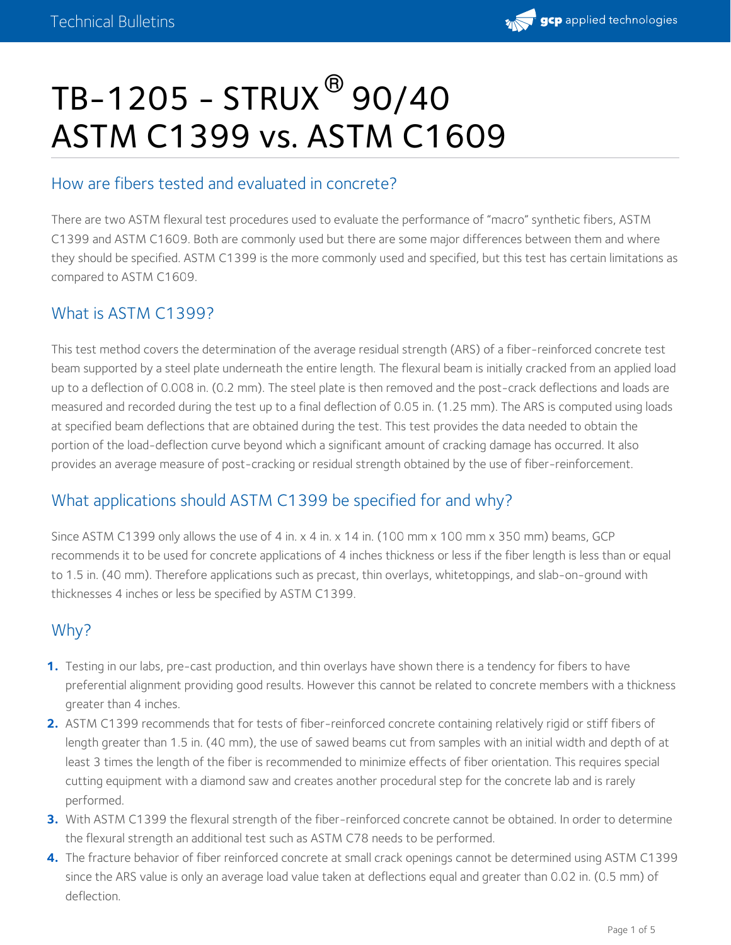

# TB-1205 - STRUX $^\circledR$ 90/40 ASTM C1399 vs. ASTM C1609

## How are fibers tested and evaluated in concrete?

There are two ASTM flexural test procedures used to evaluate the performance of "macro" synthetic fibers, ASTM C1399 and ASTM C1609. Both are commonly used but there are some major differences between them and where they should be specified. ASTM C1399 is the more commonly used and specified, but this test has certain limitations as compared to ASTM C1609.

## What is ASTM C1399?

This test method covers the determination of the average residual strength (ARS) of a fiber-reinforced concrete test beam supported by a steel plate underneath the entire length. The flexural beam is initially cracked from an applied load up to a deflection of 0.008 in. (0.2 mm). The steel plate is then removed and the post-crack deflections and loads are measured and recorded during the test up to a final deflection of 0.05 in. (1.25 mm). The ARS is computed using loads at specified beam deflections that are obtained during the test. This test provides the data needed to obtain the portion of the load-deflection curve beyond which a significant amount of cracking damage has occurred. It also provides an average measure of post-cracking or residual strength obtained by the use of fiber-reinforcement.

## What applications should ASTM C1399 be specified for and why?

Since ASTM C1399 only allows the use of 4 in. x 4 in. x 14 in. (100 mm x 100 mm x 350 mm) beams, GCP recommends it to be used for concrete applications of 4 inches thickness or less if the fiber length is less than or equal to 1.5 in. (40 mm). Therefore applications such as precast, thin overlays, whitetoppings, and slab-on-ground with thicknesses 4 inches or less be specified by ASTM C1399.

## Why?

- Testing in our labs, pre-cast production, and thin overlays have shown there is a tendency for fibers to have **1.** preferential alignment providing good results. However this cannot be related to concrete members with a thickness greater than 4 inches.
- 2. ASTM C1399 recommends that for tests of fiber-reinforced concrete containing relatively rigid or stiff fibers of length greater than 1.5 in. (40 mm), the use of sawed beams cut from samples with an initial width and depth of at least 3 times the length of the fiber is recommended to minimize effects of fiber orientation. This requires special cutting equipment with a diamond saw and creates another procedural step for the concrete lab and is rarely performed.
- 3. With ASTM C1399 the flexural strength of the fiber-reinforced concrete cannot be obtained. In order to determine the flexural strength an additional test such as ASTM C78 needs to be performed. **3.**
- The fracture behavior of fiber reinforced concrete at small crack openings cannot be determined using ASTM C1399 **4.** since the ARS value is only an average load value taken at deflections equal and greater than 0.02 in. (0.5 mm) of deflection.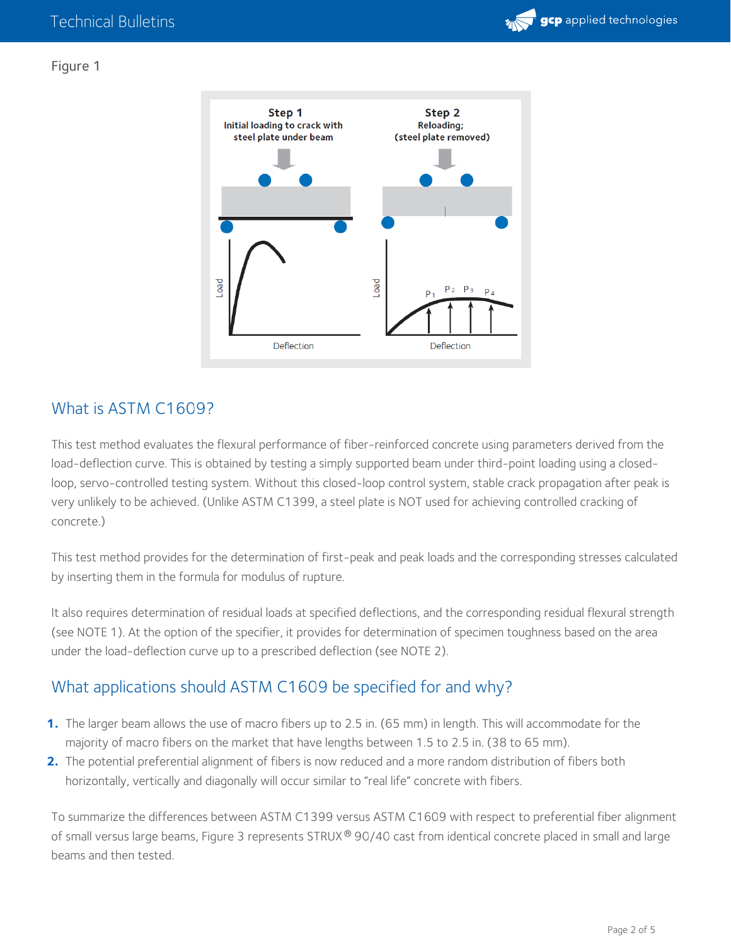

#### Figure 1



## What is ASTM C1609?

This test method evaluates the flexural performance of fiber-reinforced concrete using parameters derived from the load-deflection curve. This is obtained by testing a simply supported beam under third-point loading using a closedloop, servo-controlled testing system. Without this closed-loop control system, stable crack propagation after peak is very unlikely to be achieved. (Unlike ASTM C1399, a steel plate is NOT used for achieving controlled cracking of concrete.)

This test method provides for the determination of first-peak and peak loads and the corresponding stresses calculated by inserting them in the formula for modulus of rupture.

It also requires determination of residual loads at specified deflections, and the corresponding residual flexural strength (see NOTE 1). At the option of the specifier, it provides for determination of specimen toughness based on the area under the load-deflection curve up to a prescribed deflection (see NOTE 2).

## What applications should ASTM C1609 be specified for and why?

- 1. The larger beam allows the use of macro fibers up to 2.5 in. (65 mm) in length. This will accommodate for the majority of macro fibers on the market that have lengths between 1.5 to 2.5 in. (38 to <sup>65</sup> mm). **1.**
- 2. The potential preferential alignment of fibers is now reduced and a more random distribution of fibers both horizontally, vertically and diagonally will occur similar to "real life" concrete with fibers. **2.**

To summarize the differences between ASTM C1399 versus ASTM C1609 with respect to preferential fiber alignment of small versus large beams, Figure 3 represents STRUX® 90/40 cast from identical concrete placed in small and large beams and then tested.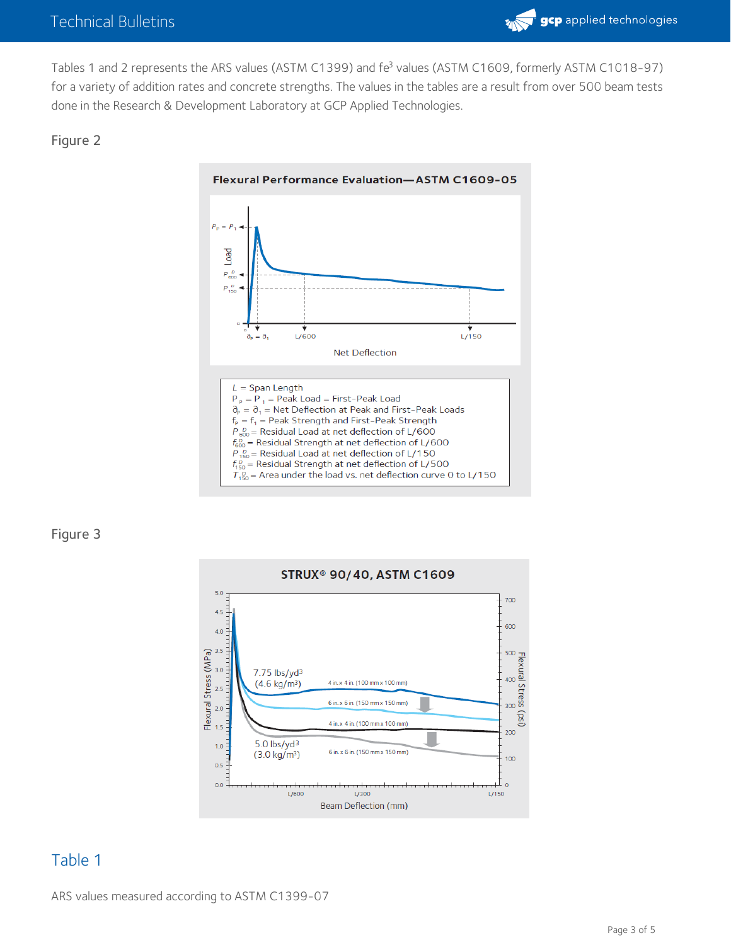

Tables 1 and 2 represents the ARS values (ASTM C1399) and fe<sup>3</sup> values (ASTM C1609, formerly ASTM C1018-97) for a variety of addition rates and concrete strengths. The values in the tables are a result from over 500 beam tests done in the Research & Development Laboratory at GCP Applied Technologies.

#### Figure 2



#### Figure 3



## Table 1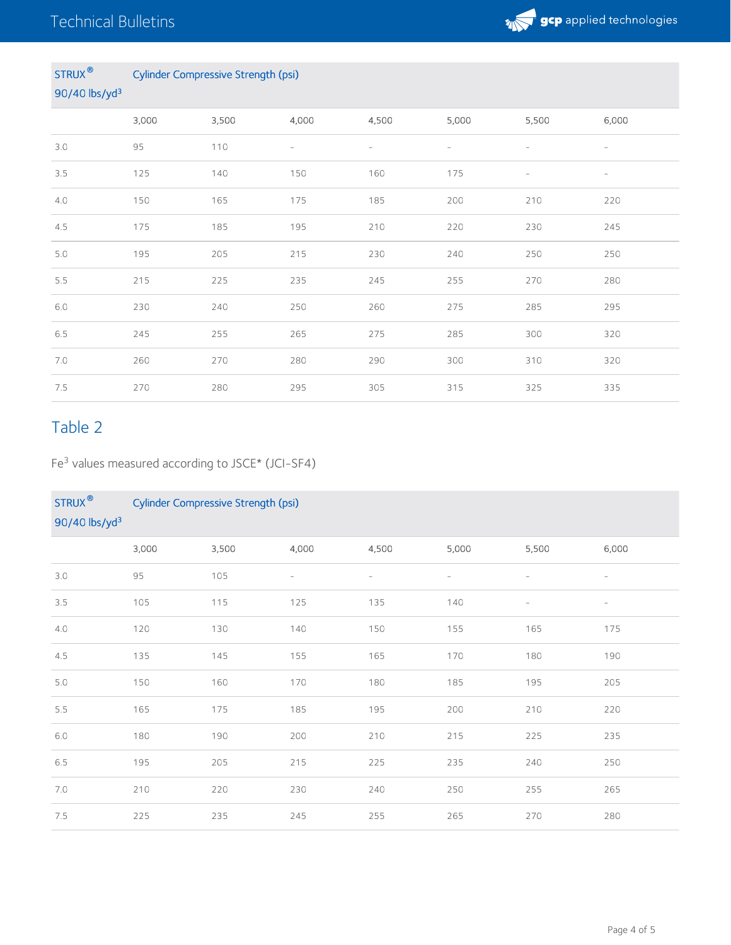

#### STRUX **®** 90/40 lbs/yd 3 Cylinder Compressive Strength (psi)

|     | 3,000 | 3,500 | 4,000                    | 4,500                    | 5,000                    | 5,500                    | 6,000                    |  |  |  |  |
|-----|-------|-------|--------------------------|--------------------------|--------------------------|--------------------------|--------------------------|--|--|--|--|
| 3.0 | 95    | 110   | $\overline{\phantom{a}}$ | $\overline{\phantom{a}}$ | $\overline{\phantom{a}}$ | $\overline{\phantom{a}}$ | $\overline{\phantom{a}}$ |  |  |  |  |
| 3.5 | 125   | 140   | 150                      | 160                      | 175                      | $\overline{\phantom{a}}$ | $\overline{\phantom{a}}$ |  |  |  |  |
| 4.0 | 150   | 165   | 175                      | 185                      | 200                      | 210                      | 220                      |  |  |  |  |
| 4.5 | 175   | 185   | 195                      | 210                      | 220                      | 230                      | 245                      |  |  |  |  |
| 5.0 | 195   | 205   | 215                      | 230                      | 240                      | 250                      | 250                      |  |  |  |  |
| 5.5 | 215   | 225   | 235                      | 245                      | 255                      | 270                      | 280                      |  |  |  |  |
| 6.0 | 230   | 240   | 250                      | 260                      | 275                      | 285                      | 295                      |  |  |  |  |
| 6.5 | 245   | 255   | 265                      | 275                      | 285                      | 300                      | 320                      |  |  |  |  |
| 7.0 | 260   | 270   | 280                      | 290                      | 300                      | 310                      | 320                      |  |  |  |  |
| 7.5 | 270   | 280   | 295                      | 305                      | 315                      | 325                      | 335                      |  |  |  |  |

## Table 2

Fe<sup>3</sup> values measured according to JSCE\* (JCI-SF4)

| <b>STRUX®</b><br>90/40 lbs/yd <sup>3</sup> | <b>Cylinder Compressive Strength (psi)</b> |       |        |       |       |                          |                          |  |  |  |  |
|--------------------------------------------|--------------------------------------------|-------|--------|-------|-------|--------------------------|--------------------------|--|--|--|--|
|                                            | 3,000                                      | 3,500 | 4,000  | 4,500 | 5,000 | 5,500                    | 6,000                    |  |  |  |  |
| 3.0                                        | 95                                         | 105   | $\sim$ |       | ÷     |                          |                          |  |  |  |  |
| 3.5                                        | 105                                        | 115   | 125    | 135   | 140   | $\overline{\phantom{a}}$ | $\overline{\phantom{a}}$ |  |  |  |  |
| 4.0                                        | 120                                        | 130   | 140    | 150   | 155   | 165                      | 175                      |  |  |  |  |
| 4.5                                        | 135                                        | 145   | 155    | 165   | 170   | 180                      | 190                      |  |  |  |  |
| 5.0                                        | 150                                        | 160   | 170    | 180   | 185   | 195                      | 205                      |  |  |  |  |
| 5.5                                        | 165                                        | 175   | 185    | 195   | 200   | 210                      | 220                      |  |  |  |  |
| $6.0\,$                                    | 180                                        | 190   | 200    | 210   | 215   | 225                      | 235                      |  |  |  |  |
| 6.5                                        | 195                                        | 205   | 215    | 225   | 235   | 240                      | 250                      |  |  |  |  |
| 7.0                                        | 210                                        | 220   | 230    | 240   | 250   | 255                      | 265                      |  |  |  |  |
| 7.5                                        | 225                                        | 235   | 245    | 255   | 265   | 270                      | 280                      |  |  |  |  |